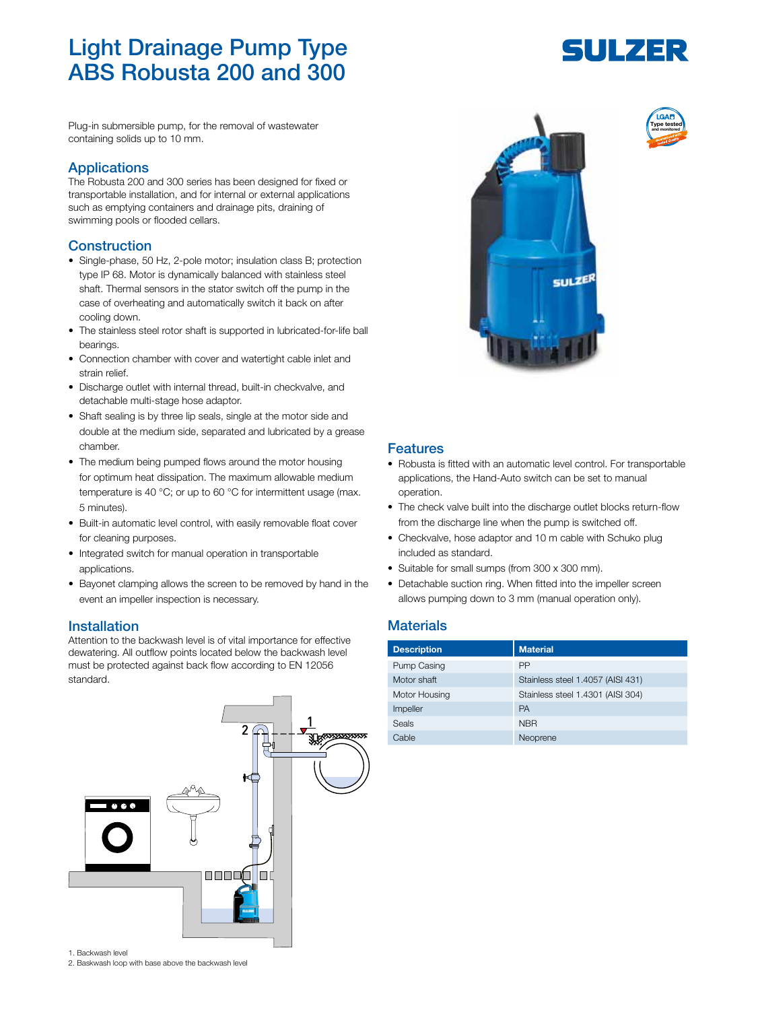# Light Drainage Pump Type ABS Robusta 200 and 300

Plug-in submersible pump, for the removal of wastewater containing solids up to 10 mm.

### **Applications**

The Robusta 200 and 300 series has been designed for fixed or transportable installation, and for internal or external applications such as emptying containers and drainage pits, draining of swimming pools or flooded cellars.

### Construction

- Single-phase, 50 Hz, 2-pole motor; insulation class B; protection type IP 68. Motor is dynamically balanced with stainless steel shaft. Thermal sensors in the stator switch off the pump in the case of overheating and automatically switch it back on after cooling down.
- The stainless steel rotor shaft is supported in lubricated-for-life ball bearings.
- Connection chamber with cover and watertight cable inlet and strain relief.
- Discharge outlet with internal thread, built-in checkvalve, and detachable multi-stage hose adaptor.
- Shaft sealing is by three lip seals, single at the motor side and double at the medium side, separated and lubricated by a grease chamber.
- The medium being pumped flows around the motor housing for optimum heat dissipation. The maximum allowable medium temperature is 40 °C; or up to 60 °C for intermittent usage (max. 5 minutes).
- Built-in automatic level control, with easily removable float cover for cleaning purposes.
- Integrated switch for manual operation in transportable applications.
- Bayonet clamping allows the screen to be removed by hand in the event an impeller inspection is necessary.

### Installation

Attention to the backwash level is of vital importance for effective dewatering. All outflow points located below the backwash level must be protected against back flow according to EN 12056 standard.







### Features

- Robusta is fitted with an automatic level control. For transportable applications, the Hand-Auto switch can be set to manual operation.
- The check valve built into the discharge outlet blocks return-flow from the discharge line when the pump is switched off.
- Checkvalve, hose adaptor and 10 m cable with Schuko plug included as standard.
- Suitable for small sumps (from 300 x 300 mm).
- Detachable suction ring. When fitted into the impeller screen allows pumping down to 3 mm (manual operation only).

### **Materials**

| <b>Description</b> | <b>Material</b>                   |
|--------------------|-----------------------------------|
| Pump Casing        | PP                                |
| Motor shaft        | Stainless steel 1.4057 (AISI 431) |
| Motor Housing      | Stainless steel 1.4301 (AISI 304) |
| Impeller           | <b>PA</b>                         |
| Seals              | <b>NBR</b>                        |
| Cable              | Neoprene                          |



Type tested and monitored